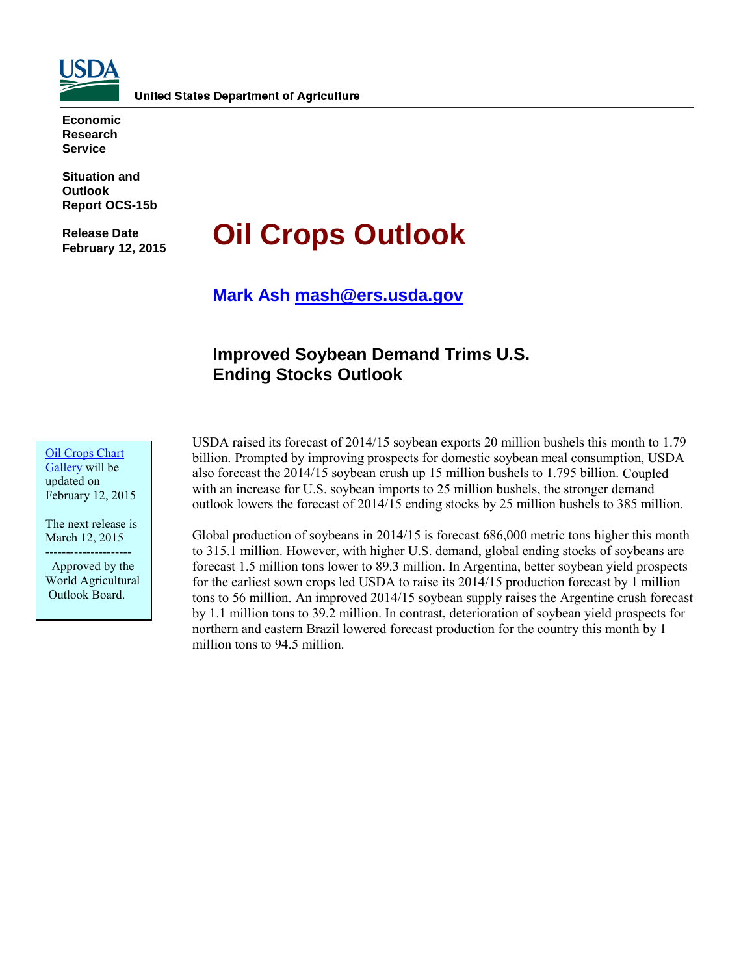

**Economic Research Service**

**Situation and Outlook Report OCS-15b** 

**Release Date February 12, 2015** 

# **Oil Crops Outlook**

**Mark Ash [mash@ers.usda.gov](mailto:mash@ers.usda.gov)**

# **Improved Soybean Demand Trims U.S. Ending Stocks Outlook**

[Oil Crops](http://www.ers.usda.gov/data-products/oil-crops-chart-gallery.aspx) Chart [Gallery](http://www.ers.usda.gov/data-products/oil-crops-chart-gallery.aspx) will be updated on February 12, 2015

The next release is March 12, 2015 ---------------------

 Approved by the World Agricultural Outlook Board.

USDA raised its forecast of 2014/15 soybean exports 20 million bushels this month to 1.79 billion. Prompted by improving prospects for domestic soybean meal consumption, USDA also forecast the 2014/15 soybean crush up 15 million bushels to 1.795 billion. Coupled with an increase for U.S. soybean imports to 25 million bushels, the stronger demand outlook lowers the forecast of 2014/15 ending stocks by 25 million bushels to 385 million.

Global production of soybeans in 2014/15 is forecast 686,000 metric tons higher this month to 315.1 million. However, with higher U.S. demand, global ending stocks of soybeans are forecast 1.5 million tons lower to 89.3 million. In Argentina, better soybean yield prospects for the earliest sown crops led USDA to raise its 2014/15 production forecast by 1 million tons to 56 million. An improved 2014/15 soybean supply raises the Argentine crush forecast by 1.1 million tons to 39.2 million. In contrast, deterioration of soybean yield prospects for northern and eastern Brazil lowered forecast production for the country this month by 1 million tons to 94.5 million.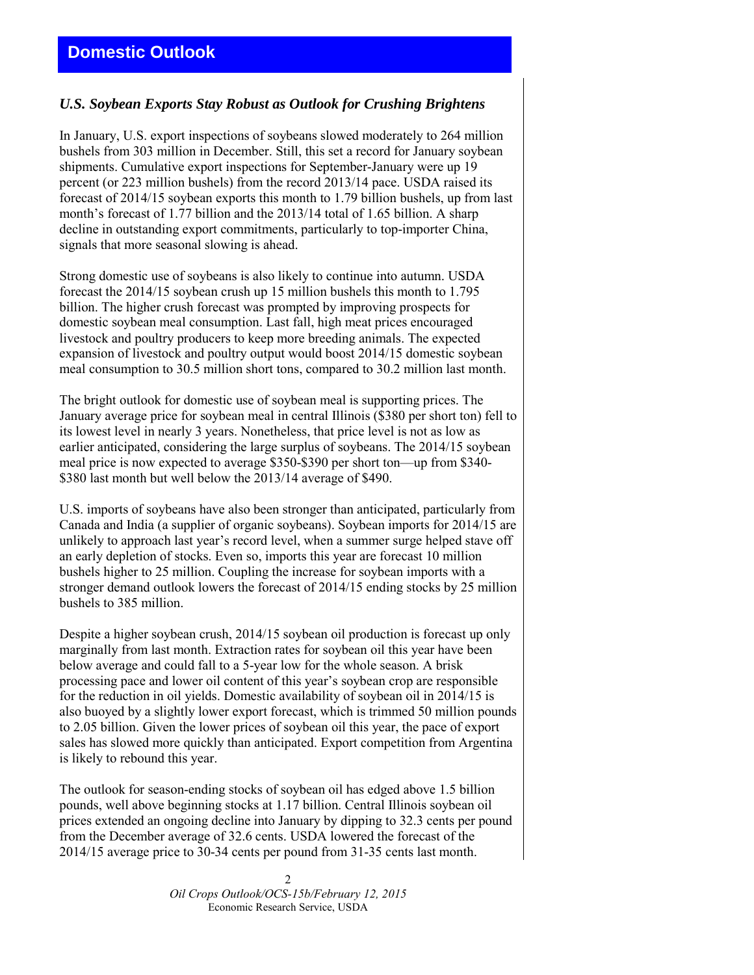## **Domestic Outlook**

## *U.S. Soybean Exports Stay Robust as Outlook for Crushing Brightens*

In January, U.S. export inspections of soybeans slowed moderately to 264 million bushels from 303 million in December. Still, this set a record for January soybean shipments. Cumulative export inspections for September-January were up 19 percent (or 223 million bushels) from the record 2013/14 pace. USDA raised its forecast of 2014/15 soybean exports this month to 1.79 billion bushels, up from last month's forecast of 1.77 billion and the 2013/14 total of 1.65 billion. A sharp decline in outstanding export commitments, particularly to top-importer China, signals that more seasonal slowing is ahead.

Strong domestic use of soybeans is also likely to continue into autumn. USDA forecast the 2014/15 soybean crush up 15 million bushels this month to 1.795 billion. The higher crush forecast was prompted by improving prospects for domestic soybean meal consumption. Last fall, high meat prices encouraged livestock and poultry producers to keep more breeding animals. The expected expansion of livestock and poultry output would boost 2014/15 domestic soybean meal consumption to 30.5 million short tons, compared to 30.2 million last month.

The bright outlook for domestic use of soybean meal is supporting prices. The January average price for soybean meal in central Illinois (\$380 per short ton) fell to its lowest level in nearly 3 years. Nonetheless, that price level is not as low as earlier anticipated, considering the large surplus of soybeans. The 2014/15 soybean meal price is now expected to average \$350-\$390 per short ton—up from \$340- \$380 last month but well below the 2013/14 average of \$490.

U.S. imports of soybeans have also been stronger than anticipated, particularly from Canada and India (a supplier of organic soybeans). Soybean imports for 2014/15 are unlikely to approach last year's record level, when a summer surge helped stave off an early depletion of stocks. Even so, imports this year are forecast 10 million bushels higher to 25 million. Coupling the increase for soybean imports with a stronger demand outlook lowers the forecast of 2014/15 ending stocks by 25 million bushels to 385 million.

Despite a higher soybean crush, 2014/15 soybean oil production is forecast up only marginally from last month. Extraction rates for soybean oil this year have been below average and could fall to a 5-year low for the whole season. A brisk processing pace and lower oil content of this year's soybean crop are responsible for the reduction in oil yields. Domestic availability of soybean oil in 2014/15 is also buoyed by a slightly lower export forecast, which is trimmed 50 million pounds to 2.05 billion. Given the lower prices of soybean oil this year, the pace of export sales has slowed more quickly than anticipated. Export competition from Argentina is likely to rebound this year.

The outlook for season-ending stocks of soybean oil has edged above 1.5 billion pounds, well above beginning stocks at 1.17 billion. Central Illinois soybean oil prices extended an ongoing decline into January by dipping to 32.3 cents per pound from the December average of 32.6 cents. USDA lowered the forecast of the 2014/15 average price to 30-34 cents per pound from 31-35 cents last month.

> $\mathcal{D}$ *Oil Crops Outlook/OCS-15b/February 12, 2015*  Economic Research Service, USDA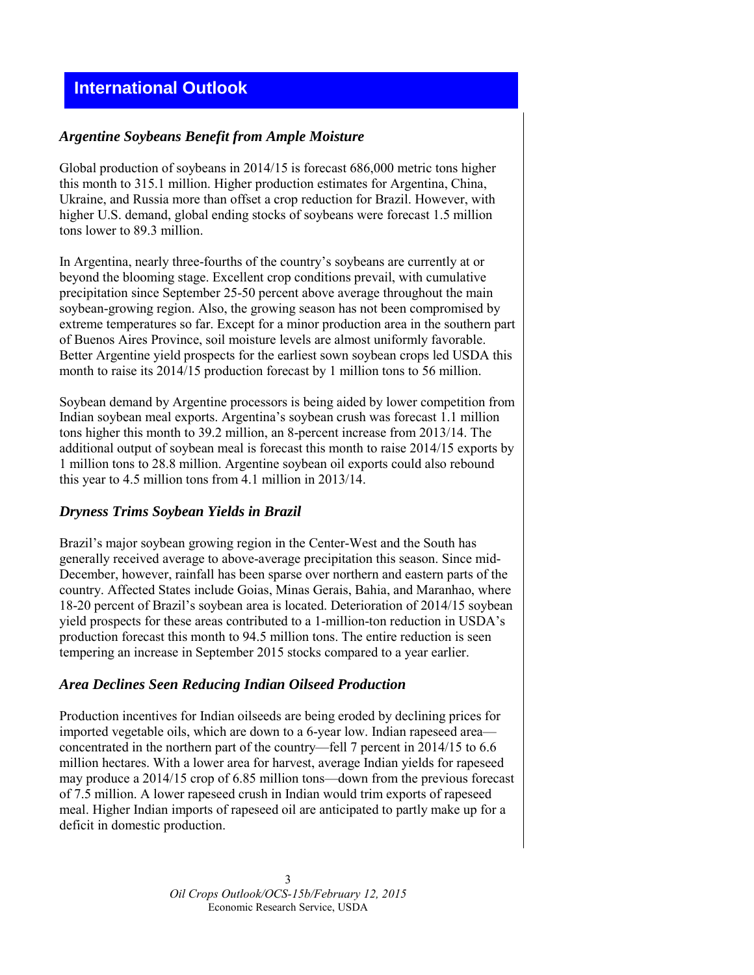## **International Outlook**

#### *Argentine Soybeans Benefit from Ample Moisture*

Global production of soybeans in 2014/15 is forecast 686,000 metric tons higher this month to 315.1 million. Higher production estimates for Argentina, China, Ukraine, and Russia more than offset a crop reduction for Brazil. However, with higher U.S. demand, global ending stocks of soybeans were forecast 1.5 million tons lower to 89.3 million.

In Argentina, nearly three-fourths of the country's soybeans are currently at or beyond the blooming stage. Excellent crop conditions prevail, with cumulative precipitation since September 25-50 percent above average throughout the main soybean-growing region. Also, the growing season has not been compromised by extreme temperatures so far. Except for a minor production area in the southern part of Buenos Aires Province, soil moisture levels are almost uniformly favorable. Better Argentine yield prospects for the earliest sown soybean crops led USDA this month to raise its 2014/15 production forecast by 1 million tons to 56 million.

Soybean demand by Argentine processors is being aided by lower competition from Indian soybean meal exports. Argentina's soybean crush was forecast 1.1 million tons higher this month to 39.2 million, an 8-percent increase from 2013/14. The additional output of soybean meal is forecast this month to raise 2014/15 exports by 1 million tons to 28.8 million. Argentine soybean oil exports could also rebound this year to 4.5 million tons from 4.1 million in 2013/14.

#### *Dryness Trims Soybean Yields in Brazil*

Brazil's major soybean growing region in the Center-West and the South has generally received average to above-average precipitation this season. Since mid-December, however, rainfall has been sparse over northern and eastern parts of the country. Affected States include Goias, Minas Gerais, Bahia, and Maranhao, where 18-20 percent of Brazil's soybean area is located. Deterioration of 2014/15 soybean yield prospects for these areas contributed to a 1-million-ton reduction in USDA's production forecast this month to 94.5 million tons. The entire reduction is seen tempering an increase in September 2015 stocks compared to a year earlier.

#### *Area Declines Seen Reducing Indian Oilseed Production*

Production incentives for Indian oilseeds are being eroded by declining prices for imported vegetable oils, which are down to a 6-year low. Indian rapeseed area concentrated in the northern part of the country—fell 7 percent in 2014/15 to 6.6 million hectares. With a lower area for harvest, average Indian yields for rapeseed may produce a 2014/15 crop of 6.85 million tons—down from the previous forecast of 7.5 million. A lower rapeseed crush in Indian would trim exports of rapeseed meal. Higher Indian imports of rapeseed oil are anticipated to partly make up for a deficit in domestic production.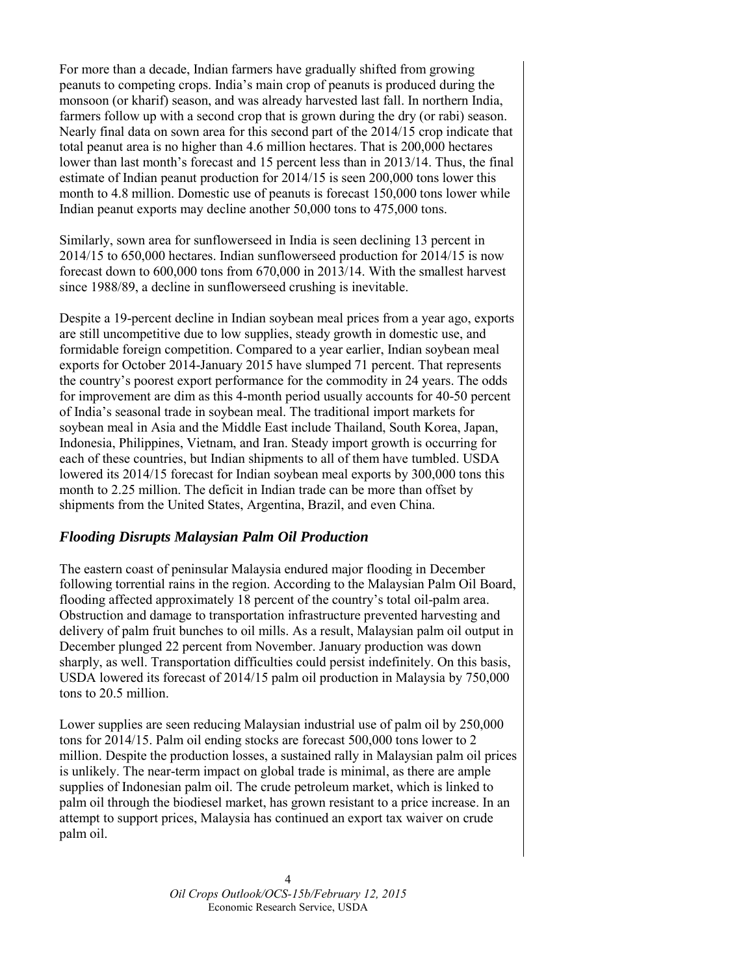For more than a decade, Indian farmers have gradually shifted from growing peanuts to competing crops. India's main crop of peanuts is produced during the monsoon (or kharif) season, and was already harvested last fall. In northern India, farmers follow up with a second crop that is grown during the dry (or rabi) season. Nearly final data on sown area for this second part of the 2014/15 crop indicate that total peanut area is no higher than 4.6 million hectares. That is 200,000 hectares lower than last month's forecast and 15 percent less than in 2013/14. Thus, the final estimate of Indian peanut production for 2014/15 is seen 200,000 tons lower this month to 4.8 million. Domestic use of peanuts is forecast 150,000 tons lower while Indian peanut exports may decline another 50,000 tons to 475,000 tons.

Similarly, sown area for sunflowerseed in India is seen declining 13 percent in 2014/15 to 650,000 hectares. Indian sunflowerseed production for 2014/15 is now forecast down to 600,000 tons from 670,000 in 2013/14. With the smallest harvest since 1988/89, a decline in sunflowerseed crushing is inevitable.

Despite a 19-percent decline in Indian soybean meal prices from a year ago, exports are still uncompetitive due to low supplies, steady growth in domestic use, and formidable foreign competition. Compared to a year earlier, Indian soybean meal exports for October 2014-January 2015 have slumped 71 percent. That represents the country's poorest export performance for the commodity in 24 years. The odds for improvement are dim as this 4-month period usually accounts for 40-50 percent of India's seasonal trade in soybean meal. The traditional import markets for soybean meal in Asia and the Middle East include Thailand, South Korea, Japan, Indonesia, Philippines, Vietnam, and Iran. Steady import growth is occurring for each of these countries, but Indian shipments to all of them have tumbled. USDA lowered its 2014/15 forecast for Indian soybean meal exports by 300,000 tons this month to 2.25 million. The deficit in Indian trade can be more than offset by shipments from the United States, Argentina, Brazil, and even China.

#### *Flooding Disrupts Malaysian Palm Oil Production*

The eastern coast of peninsular Malaysia endured major flooding in December following torrential rains in the region. According to the Malaysian Palm Oil Board, flooding affected approximately 18 percent of the country's total oil-palm area. Obstruction and damage to transportation infrastructure prevented harvesting and delivery of palm fruit bunches to oil mills. As a result, Malaysian palm oil output in December plunged 22 percent from November. January production was down sharply, as well. Transportation difficulties could persist indefinitely. On this basis, USDA lowered its forecast of 2014/15 palm oil production in Malaysia by 750,000 tons to 20.5 million.

Lower supplies are seen reducing Malaysian industrial use of palm oil by 250,000 tons for 2014/15. Palm oil ending stocks are forecast 500,000 tons lower to 2 million. Despite the production losses, a sustained rally in Malaysian palm oil prices is unlikely. The near-term impact on global trade is minimal, as there are ample supplies of Indonesian palm oil. The crude petroleum market, which is linked to palm oil through the biodiesel market, has grown resistant to a price increase. In an attempt to support prices, Malaysia has continued an export tax waiver on crude palm oil.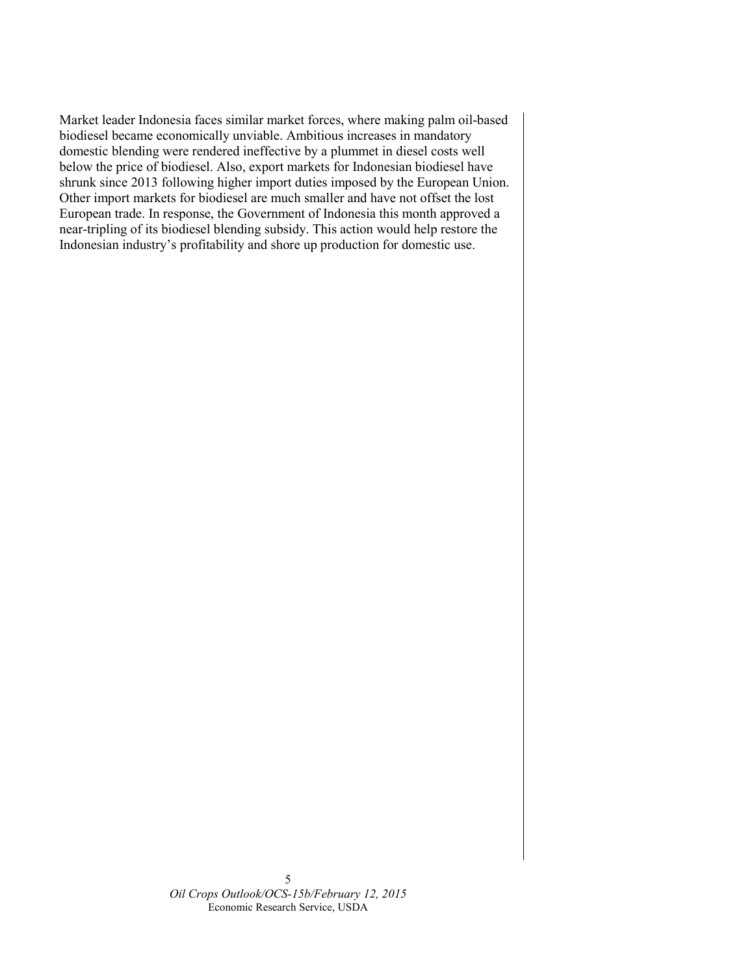Market leader Indonesia faces similar market forces, where making palm oil-based biodiesel became economically unviable. Ambitious increases in mandatory domestic blending were rendered ineffective by a plummet in diesel costs well below the price of biodiesel. Also, export markets for Indonesian biodiesel have shrunk since 2013 following higher import duties imposed by the European Union. Other import markets for biodiesel are much smaller and have not offset the lost European trade. In response, the Government of Indonesia this month approved a near-tripling of its biodiesel blending subsidy. This action would help restore the Indonesian industry's profitability and shore up production for domestic use.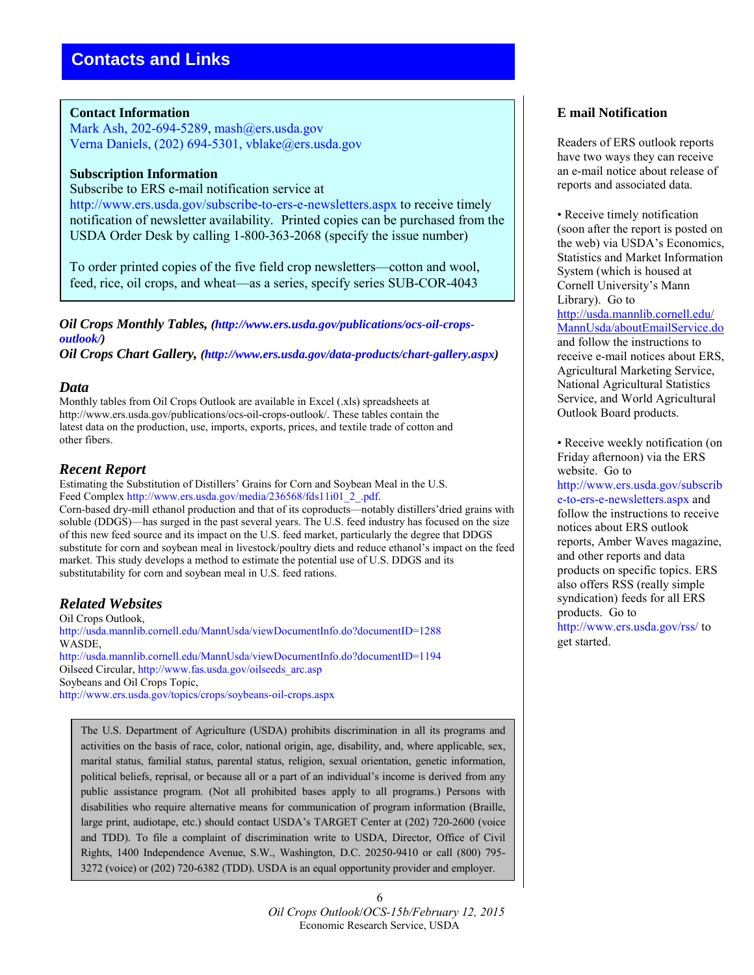#### **Contact Information**

Mark Ash, 202-694-5289, mash@ers.usda.gov Verna Daniels, (202) 694-5301, vblake@ers.usda.gov

#### **Subscription Information**

Subscribe to ERS e-mail notification service at http://www.ers.usda.gov/subscribe-to-ers-e-newsletters.aspx to receive timely notification of newsletter availability. Printed copies can be purchased from the USDA Order Desk by calling 1-800-363-2068 (specify the issue number)

To order printed copies of the five field crop newsletters—cotton and wool, feed, rice, oil crops, and wheat—as a series, specify series SUB-COR-4043

*Oil Crops Monthly Tables, (http://www.ers.usda.gov/publications/ocs-oil-cropsoutlook/)* 

*Oil Crops Chart Gallery, (http://www.ers.usda.gov/data-products/chart-gallery.aspx)* 

#### *Data*

Monthly tables from Oil Crops Outlook are available in Excel (.xls) spreadsheets at http://www.ers.usda.gov/publications/ocs-oil-crops-outlook/. These tables contain the latest data on the production, use, imports, exports, prices, and textile trade of cotton and other fibers.

#### *Recent Report*

Estimating the Substitution of Distillers' Grains for Corn and Soybean Meal in the U.S. Feed Complex http://www.ers.usda.gov/media/236568/fds11i01\_2\_.pdf.

Corn-based dry-mill ethanol production and that of its coproducts—notably distillers'dried grains with soluble (DDGS)—has surged in the past several years. The U.S. feed industry has focused on the size of this new feed source and its impact on the U.S. feed market, particularly the degree that DDGS substitute for corn and soybean meal in livestock/poultry diets and reduce ethanol's impact on the feed market. This study develops a method to estimate the potential use of U.S. DDGS and its substitutability for corn and soybean meal in U.S. feed rations.

## *Related Websites*

Oil Crops Outlook, http://usda.mannlib.cornell.edu/MannUsda/viewDocumentInfo.do?documentID=1288 WASDE, http://usda.mannlib.cornell.edu/MannUsda/viewDocumentInfo.do?documentID=1194 Oilseed Circular, http://www.fas.usda.gov/oilseeds\_arc.asp Soybeans and Oil Crops Topic, http://www.ers.usda.gov/topics/crops/soybeans-oil-crops.aspx

The U.S. Department of Agriculture (USDA) prohibits discrimination in all its programs and activities on the basis of race, color, national origin, age, disability, and, where applicable, sex, marital status, familial status, parental status, religion, sexual orientation, genetic information, political beliefs, reprisal, or because all or a part of an individual's income is derived from any public assistance program. (Not all prohibited bases apply to all programs.) Persons with disabilities who require alternative means for communication of program information (Braille, large print, audiotape, etc.) should contact USDA's TARGET Center at (202) 720-2600 (voice and TDD). To file a complaint of discrimination write to USDA, Director, Office of Civil Rights, 1400 Independence Avenue, S.W., Washington, D.C. 20250-9410 or call (800) 795- 3272 (voice) or (202) 720-6382 (TDD). USDA is an equal opportunity provider and employer.

### **E mail Notification**

Readers of ERS outlook reports have two ways they can receive an e-mail notice about release of reports and associated data.

• Receive timely notification (soon after the report is posted on the web) via USDA's Economics, Statistics and Market Information System (which is housed at Cornell University's Mann Library). Go to [http://usda.mannlib.cornell.edu/](http://usda.mannlib.cornell.edu/MannUsda/aboutEmailService.do) [MannUsda/aboutEmailService.do](http://usda.mannlib.cornell.edu/MannUsda/aboutEmailService.do) and follow the instructions to receive e-mail notices about ERS, Agricultural Marketing Service, National Agricultural Statistics Service, and World Agricultural Outlook Board products.

• Receive weekly notification (on Friday afternoon) via the ERS website. Go to http://www.ers.usda.gov/subscrib e-to-ers-e-newsletters.aspx and follow the instructions to receive notices about ERS outlook reports, Amber Waves magazine, and other reports and data products on specific topics. ERS also offers RSS (really simple syndication) feeds for all ERS products. Go to http://www.ers.usda.gov/rss/ to get started.

6 *Oil Crops Outlook*/*OCS-15b/February 12, 2015* Economic Research Service, USDA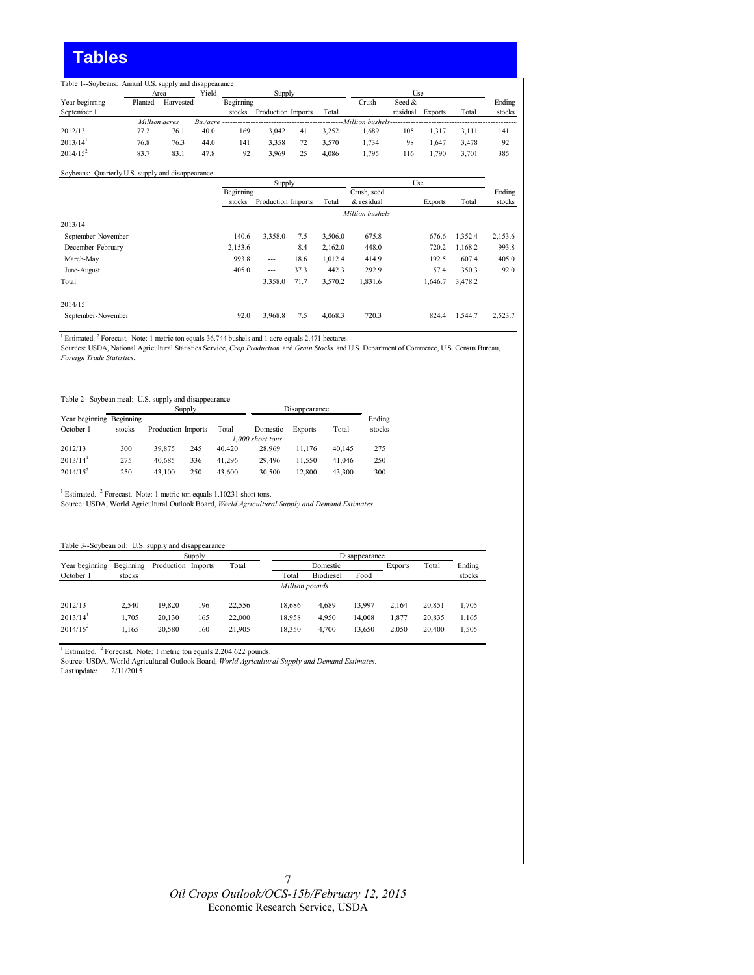## **Tables**

| Ending          |
|-----------------|
| stocks<br>Total |
|                 |
| 141<br>3.111    |
| 92<br>3.478     |
| 385<br>3.701    |
|                 |

#### Soybeans: Quarterly U.S. supply and disappearance

|                    |           | Supply             |      |         |                      | Use            |         |         |
|--------------------|-----------|--------------------|------|---------|----------------------|----------------|---------|---------|
|                    | Beginning |                    |      |         | Crush, seed          |                |         | Ending  |
|                    | stocks    | Production Imports |      | Total   | & residual           | <b>Exports</b> | Total   | stocks  |
|                    |           |                    |      |         | --Million bushels--- |                |         |         |
| 2013/14            |           |                    |      |         |                      |                |         |         |
| September-November | 140.6     | 3,358.0            | 7.5  | 3.506.0 | 675.8                | 676.6          | 1.352.4 | 2,153.6 |
| December-February  | 2,153.6   | $---$              | 8.4  | 2.162.0 | 448.0                | 720.2          | 1,168.2 | 993.8   |
| March-May          | 993.8     | $---$              | 18.6 | 1,012.4 | 414.9                | 192.5          | 607.4   | 405.0   |
| June-August        | 405.0     | $---$              | 37.3 | 442.3   | 292.9                | 57.4           | 350.3   | 92.0    |
| Total              |           | 3.358.0            | 71.7 | 3.570.2 | 1,831.6              | 1,646.7        | 3,478.2 |         |
| 2014/15            |           |                    |      |         |                      |                |         |         |
| September-November | 92.0      | 3.968.8            | 7.5  | 4.068.3 | 720.3                | 824.4          | 1.544.7 | 2.523.7 |

<sup>1</sup> Estimated. <sup>2</sup> Forecast. Note: 1 metric ton equals 36.744 bushels and 1 acre equals 2.471 hectares.<br>Sources: USDA, National Agricultural Statistics Service, Crop Production and Grain Stocks and U.S. Department of Comme *Foreign Trade Statistics.*

| Table 2--Sovbean meal: U.S. supply and disappearance |        |                    |        |        |          |                |        |        |  |  |
|------------------------------------------------------|--------|--------------------|--------|--------|----------|----------------|--------|--------|--|--|
|                                                      |        |                    | Supply |        |          | Disappearance  |        |        |  |  |
| Year beginning Beginning                             |        |                    |        |        |          |                |        | Ending |  |  |
| October 1                                            | stocks | Production Imports |        | Total  | Domestic | <b>Exports</b> | Total  | stocks |  |  |
|                                                      |        | 1.000 short tons   |        |        |          |                |        |        |  |  |
| 2012/13                                              | 300    | 39.875             | 245    | 40.420 | 28.969   | 11.176         | 40.145 | 275    |  |  |
| $2013/14$ <sup>1</sup>                               | 275    | 40.685             | 336    | 41.296 | 29.496   | 11.550         | 41.046 | 250    |  |  |
| $2014/15^2$                                          | 250    | 43.100             | 250    | 43.600 | 30.500   | 12.800         | 43.300 | 300    |  |  |

<sup>1</sup> Estimated. <sup>2</sup> Forecast. Note: 1 metric ton equals 1.10231 short tons.

Source: USDA, World Agricultural Outlook Board, *World Agricultural Supply and Demand Estimates.*

| Table 3--Soybean oil: U.S. supply and disappearance |
|-----------------------------------------------------|
|                                                     |

|                        |           |                    | Supply |        | Disappearance  |           |        |                |        |        |
|------------------------|-----------|--------------------|--------|--------|----------------|-----------|--------|----------------|--------|--------|
| Year beginning         | Beginning | Production Imports |        | Total  |                | Domestic  |        | <b>Exports</b> | Total  | Ending |
| October 1              | stocks    |                    |        |        | Total          | Biodiesel | Food   |                |        | stocks |
|                        |           |                    |        |        | Million pounds |           |        |                |        |        |
| 2012/13                | 2.540     | 19.820             | 196    | 22.556 | 18,686         | 4,689     | 13.997 | 2.164          | 20.851 | 1.705  |
| $2013/14$ <sup>1</sup> | 1.705     | 20.130             | 165    | 22.000 | 18,958         | 4,950     | 14.008 | 1.877          | 20.835 | 1.165  |
| $2014/15^2$            | 1.165     | 20.580             | 160    | 21,905 | 18,350         | 4.700     | 13,650 | 2.050          | 20.400 | 1,505  |

<sup>1</sup> Estimated. <sup>2</sup> Forecast. Note: 1 metric ton equals 2,204.622 pounds.

Source: USDA, World Agricultural Outlook Board, *World Agricultural Supply and Demand Estimates.*

Last update: 2/11/2015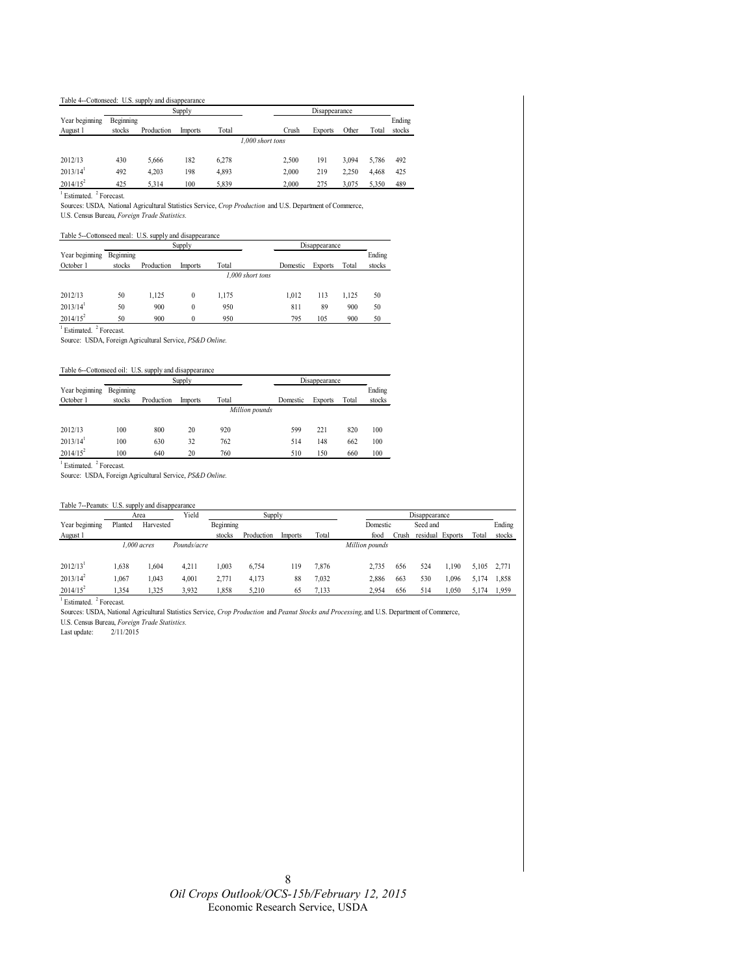#### Table 4--Cottonseed: U.S. supply and disappearance

|                        |           |            | Supply  |       |                  | Disappearance |                |       |       |        |
|------------------------|-----------|------------|---------|-------|------------------|---------------|----------------|-------|-------|--------|
| Year beginning         | Beginning |            |         |       |                  |               |                |       |       | Ending |
| August 1               | stocks    | Production | Imports | Total |                  | Crush         | <b>Exports</b> | Other | Total | stocks |
|                        |           |            |         |       | 1.000 short tons |               |                |       |       |        |
| 2012/13                | 430       | 5.666      | 182     | 6.278 |                  | 2,500         | 191            | 3.094 | 5.786 | 492    |
| $2013/14$ <sup>1</sup> | 492       | 4.203      | 198     | 4,893 |                  | 2,000         | 219            | 2.250 | 4.468 | 425    |
| $2014/15^2$            | 425       | 5.314      | 100     | 5.839 |                  | 2.000         | 275            | 3.075 | 5,350 | 489    |

<sup>1</sup> Estimated. <sup>2</sup> Forecast.

Sources: USDA*,* National Agricultural Statistics Service, *Crop Production* and U.S. Department of Commerce,

U.S. Census Bureau, *Foreign Trade Statistics.*

#### Table 5--Cottonseed meal: U.S. supply and disappearance

|                        |           |            | Supply         |                  |          | Disappearance  |       |        |
|------------------------|-----------|------------|----------------|------------------|----------|----------------|-------|--------|
| Year beginning         | Beginning |            |                |                  |          |                |       | Ending |
| October 1              | stocks    | Production | <b>Imports</b> | Total            | Domestic | <b>Exports</b> | Total | stocks |
|                        |           |            |                | 1.000 short tons |          |                |       |        |
|                        |           |            |                |                  |          |                |       |        |
| 2012/13                | 50        | 1.125      | 0              | 1.175            | 1.012    | 113            | 1.125 | 50     |
| $2013/14$ <sup>1</sup> | 50        | 900        | 0              | 950              | 811      | 89             | 900   | 50     |
| $2014/15^2$            | 50        | 900        |                | 950              | 795      | 105            | 900   | 50     |

<sup>1</sup> Estimated. <sup>2</sup> Forecast.

Source: USDA, Foreign Agricultural Service, *PS&D Online.*

#### Table 6--Cottonseed oil: U.S. supply and disappearance

|                        |           |            | Supply         |       |                | Disappearance  |       |        |  |
|------------------------|-----------|------------|----------------|-------|----------------|----------------|-------|--------|--|
| Year beginning         | Beginning |            |                |       |                |                |       | Ending |  |
| October 1              | stocks    | Production | <b>Imports</b> | Total | Domestic       | <b>Exports</b> | Total | stocks |  |
|                        |           |            |                |       | Million pounds |                |       |        |  |
| 2012/13                | 100       | 800        | 20             | 920   | 599            | 221            | 820   | 100    |  |
| $2013/14$ <sup>1</sup> | 100       | 630        | 32             | 762   | 514            | 148            | 662   | 100    |  |
| $2014/15^2$            | 100       | 640        | 20             | 760   | 510            | 150            | 660   | 100    |  |

<sup>1</sup> Estimated. <sup>2</sup> Forecast.

Source: USDA, Foreign Agricultural Service, *PS&D Online.*

| Table 7--Peanuts: U.S. supply and disappearance |         |             |             |           |            |         |       |                |       |                  |        |       |        |
|-------------------------------------------------|---------|-------------|-------------|-----------|------------|---------|-------|----------------|-------|------------------|--------|-------|--------|
|                                                 |         | Area        | Yield       |           | Supply     |         |       |                |       | Disappearance    |        |       |        |
| Year beginning                                  | Planted | Harvested   |             | Beginning |            |         |       | Domestic       |       | Seed and         |        |       | Ending |
| August 1                                        |         |             |             | stocks    | Production | Imports | Total | food           | Crush | residual Exports |        | Total | stocks |
|                                                 |         | 1.000 acres | Pounds/acre |           |            |         |       | Million pounds |       |                  |        |       |        |
| $2012/13$ <sup>1</sup>                          | 1.638   | 1.604       | 4.211       | 1.003     | 6.754      | 119     | 7,876 | 2.735          | 656   | 524              | ۔ 190ء | 5.105 | 2.771  |
| $2013/14^2$                                     | 1.067   | 1.043       | 4.001       | 2.771     | 4.173      | 88      | 7,032 | 2.886          | 663   | 530              | 1.096  | 5.174 | 1.858  |
| $2014/15^2$                                     | 1.354   | 1,325       | 3,932       | 1.858     | 5.210      | 65      | 7,133 | 2.954          | 656   | 514              | 1,050  | 5.174 | 1.959  |

<sup>1</sup> Estimated. <sup>2</sup> Forecast.

Sources: USDA, National Agricultural Statistics Service, *Crop Production* and *Peanut Stocks and Processing,* and U.S. Department of Commerce,

U.S. Census Bureau, *Foreign Trade Statistics.* Last update: 2/11/2015

> 8 *Oil Crops Outlook/OCS-15b/February 12, 2015*  Economic Research Service, USDA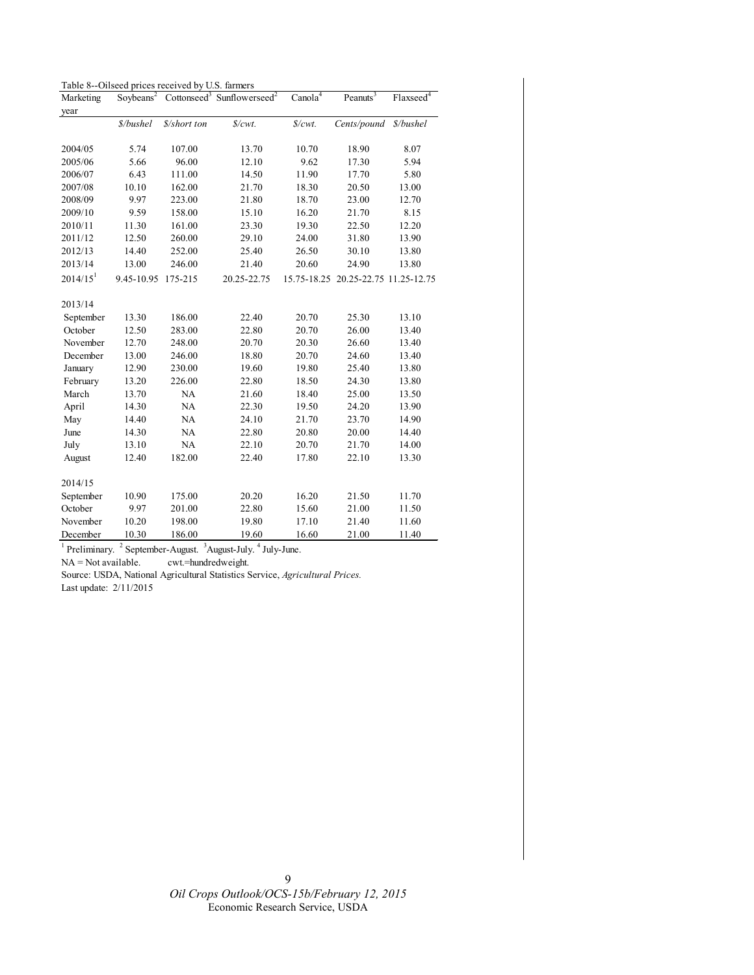| Table 8--Oilseed prices received by U.S. farmers |  |  |
|--------------------------------------------------|--|--|
|--------------------------------------------------|--|--|

| Marketing                 | Soybeans <sup>2</sup> |              | Cottonseed <sup>3</sup> Sunflowerseed <sup>2</sup>                  | Canola <sup>4</sup>           | Peanuts <sup>3</sup>    | Flaxseed <sup>4</sup> |
|---------------------------|-----------------------|--------------|---------------------------------------------------------------------|-------------------------------|-------------------------|-----------------------|
| year                      |                       |              |                                                                     |                               |                         |                       |
|                           | \$/bushel             | \$/short ton | \$/cwt.                                                             | $\mathcal{S}/\mathcal{C}wt$ . | Cents/pound             | \$/bushel             |
|                           |                       |              |                                                                     |                               |                         |                       |
| 2004/05                   | 5.74                  | 107.00       | 13.70                                                               | 10.70                         | 18.90                   | 8.07                  |
| 2005/06                   | 5.66                  | 96.00        | 12.10                                                               | 9.62                          | 17.30                   | 5.94                  |
| 2006/07                   | 6.43                  | 111.00       | 14.50                                                               | 11.90                         | 17.70                   | 5.80                  |
| 2007/08                   | 10.10                 | 162.00       | 21.70                                                               | 18.30                         | 20.50                   | 13.00                 |
| 2008/09                   | 9.97                  | 223.00       | 21.80                                                               | 18.70                         | 23.00                   | 12.70                 |
| 2009/10                   | 9.59                  | 158.00       | 15.10                                                               | 16.20                         | 21.70                   | 8.15                  |
| 2010/11                   | 11.30                 | 161.00       | 23.30                                                               | 19.30                         | 22.50                   | 12.20                 |
| 2011/12                   | 12.50                 | 260.00       | 29.10                                                               | 24.00                         | 31.80                   | 13.90                 |
| 2012/13                   | 14.40                 | 252.00       | 25.40                                                               | 26.50                         | 30.10                   | 13.80                 |
| 2013/14                   | 13.00                 | 246.00       | 21.40                                                               | 20.60                         | 24.90                   | 13.80                 |
| $2014/15$ <sup>1</sup>    | 9.45-10.95            | 175-215      | 20.25-22.75                                                         | 15.75-18.25                   | 20.25-22.75 11.25-12.75 |                       |
| 2013/14                   |                       |              |                                                                     |                               |                         |                       |
| September                 | 13.30                 | 186.00       | 22.40                                                               | 20.70                         | 25.30                   | 13.10                 |
| October                   | 12.50                 | 283.00       | 22.80                                                               | 20.70                         | 26.00                   | 13.40                 |
| November                  | 12.70                 | 248.00       | 20.70                                                               | 20.30                         | 26.60                   | 13.40                 |
| December                  | 13.00                 | 246.00       | 18.80                                                               | 20.70                         | 24.60                   | 13.40                 |
| January                   | 12.90                 | 230.00       | 19.60                                                               | 19.80                         | 25.40                   | 13.80                 |
| February                  | 13.20                 | 226.00       | 22.80                                                               | 18.50                         | 24.30                   | 13.80                 |
| March                     | 13.70                 | NA           | 21.60                                                               | 18.40                         | 25.00                   | 13.50                 |
| April                     | 14.30                 | NA           | 22.30                                                               | 19.50                         | 24.20                   | 13.90                 |
| May                       | 14.40                 | NA           | 24.10                                                               | 21.70                         | 23.70                   | 14.90                 |
| June                      | 14.30                 | NA           | 22.80                                                               | 20.80                         | 20.00                   | 14.40                 |
| July                      | 13.10                 | NA           | 22.10                                                               | 20.70                         | 21.70                   | 14.00                 |
| August                    | 12.40                 | 182.00       | 22.40                                                               | 17.80                         | 22.10                   | 13.30                 |
| 2014/15                   |                       |              |                                                                     |                               |                         |                       |
| September                 | 10.90                 | 175.00       | 20.20                                                               | 16.20                         | 21.50                   | 11.70                 |
| October                   | 9.97                  | 201.00       | 22.80                                                               | 15.60                         | 21.00                   | 11.50                 |
| November                  | 10.20                 | 198.00       | 19.80                                                               | 17.10                         | 21.40                   | 11.60                 |
| December                  | 10.30                 | 186.00       | 19.60                                                               | 16.60                         | 21.00                   | 11.40                 |
| $\,$ $\,$<br>Preliminary. | $\sqrt{2}$            |              | September-August. <sup>3</sup> August-July. <sup>4</sup> July-June. |                               |                         |                       |

NA = Not available. cwt.=hundredweight.

Source: USDA, National Agricultural Statistics Service, *Agricultural Prices.*  Last update: 2/11/2015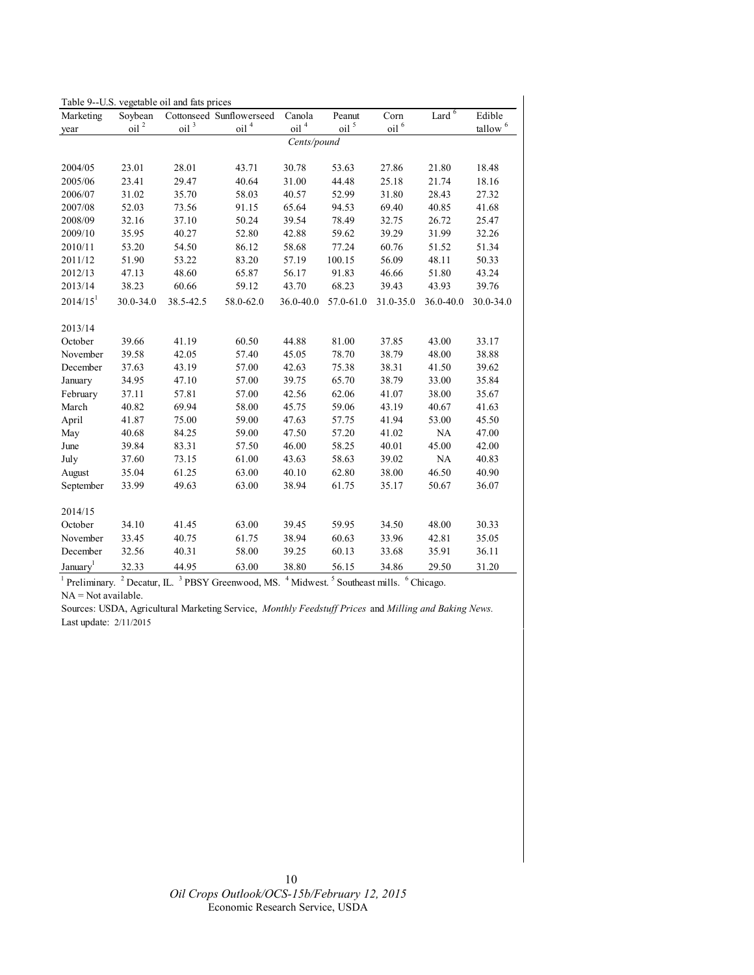| Table 9--U.S. vegetable oil and fats prices |                       |            |                          |                  |                |                  |                   |                     |
|---------------------------------------------|-----------------------|------------|--------------------------|------------------|----------------|------------------|-------------------|---------------------|
| Marketing                                   | Soybean               |            | Cottonseed Sunflowerseed | Canola           | Peanut         | Corn             | Lard <sup>6</sup> | Edible              |
| year                                        | $\Omega$ <sup>2</sup> | oil $^3\,$ | oil <sup>4</sup>         | oil <sup>4</sup> | oil $^{\rm 5}$ | oil <sup>6</sup> |                   | tallow <sup>6</sup> |
|                                             |                       |            |                          | Cents/pound      |                |                  |                   |                     |
|                                             |                       |            |                          |                  |                |                  |                   |                     |
| 2004/05                                     | 23.01                 | 28.01      | 43.71                    | 30.78            | 53.63          | 27.86            | 21.80             | 18.48               |
| 2005/06                                     | 23.41                 | 29.47      | 40.64                    | 31.00            | 44.48          | 25.18            | 21.74             | 18.16               |
| 2006/07                                     | 31.02                 | 35.70      | 58.03                    | 40.57            | 52.99          | 31.80            | 28.43             | 27.32               |
| 2007/08                                     | 52.03                 | 73.56      | 91.15                    | 65.64            | 94.53          | 69.40            | 40.85             | 41.68               |
| 2008/09                                     | 32.16                 | 37.10      | 50.24                    | 39.54            | 78.49          | 32.75            | 26.72             | 25.47               |
| 2009/10                                     | 35.95                 | 40.27      | 52.80                    | 42.88            | 59.62          | 39.29            | 31.99             | 32.26               |
| 2010/11                                     | 53.20                 | 54.50      | 86.12                    | 58.68            | 77.24          | 60.76            | 51.52             | 51.34               |
| 2011/12                                     | 51.90                 | 53.22      | 83.20                    | 57.19            | 100.15         | 56.09            | 48.11             | 50.33               |
| 2012/13                                     | 47.13                 | 48.60      | 65.87                    | 56.17            | 91.83          | 46.66            | 51.80             | 43.24               |
| 2013/14                                     | 38.23                 | 60.66      | 59.12                    | 43.70            | 68.23          | 39.43            | 43.93             | 39.76               |
| $2014/15$ <sup>1</sup>                      | 30.0-34.0             | 38.5-42.5  | 58.0-62.0                | 36.0-40.0        | 57.0-61.0      | 31.0-35.0        | 36.0-40.0         | 30.0-34.0           |
| 2013/14                                     |                       |            |                          |                  |                |                  |                   |                     |
| October                                     | 39.66                 | 41.19      | 60.50                    | 44.88            | 81.00          | 37.85            | 43.00             | 33.17               |
| November                                    | 39.58                 | 42.05      | 57.40                    | 45.05            | 78.70          | 38.79            | 48.00             | 38.88               |
| December                                    | 37.63                 | 43.19      | 57.00                    | 42.63            | 75.38          | 38.31            | 41.50             | 39.62               |
| January                                     | 34.95                 | 47.10      | 57.00                    | 39.75            | 65.70          | 38.79            | 33.00             | 35.84               |
| February                                    | 37.11                 | 57.81      | 57.00                    | 42.56            | 62.06          | 41.07            | 38.00             | 35.67               |
| March                                       | 40.82                 | 69.94      | 58.00                    | 45.75            | 59.06          | 43.19            | 40.67             | 41.63               |
|                                             |                       |            |                          | 47.63            |                |                  |                   | 45.50               |
| April                                       | 41.87                 | 75.00      | 59.00                    |                  | 57.75          | 41.94            | 53.00             |                     |
| May                                         | 40.68                 | 84.25      | 59.00                    | 47.50            | 57.20          | 41.02            | NA                | 47.00               |
| June                                        | 39.84                 | 83.31      | 57.50                    | 46.00            | 58.25          | 40.01            | 45.00             | 42.00               |
| July                                        | 37.60                 | 73.15      | 61.00                    | 43.63            | 58.63          | 39.02            | NA                | 40.83               |
| August                                      | 35.04                 | 61.25      | 63.00                    | 40.10            | 62.80          | 38.00            | 46.50             | 40.90               |
| September                                   | 33.99                 | 49.63      | 63.00                    | 38.94            | 61.75          | 35.17            | 50.67             | 36.07               |
| 2014/15                                     |                       |            |                          |                  |                |                  |                   |                     |
| October                                     | 34.10                 | 41.45      | 63.00                    | 39.45            | 59.95          | 34.50            | 48.00             | 30.33               |
| November                                    | 33.45                 | 40.75      | 61.75                    | 38.94            | 60.63          | 33.96            | 42.81             | 35.05               |
| December                                    | 32.56                 | 40.31      | 58.00                    | 39.25            | 60.13          | 33.68            | 35.91             | 36.11               |
| January <sup>1</sup>                        | 32.33                 | 44.95      | 63.00                    | 38.80            | 56.15          | 34.86            | 29.50             | 31.20               |

<sup>1</sup> Preliminary. <sup>2</sup> Decatur, IL. <sup>3</sup> PBSY Greenwood, MS. <sup>4</sup> Midwest. <sup>5</sup> Southeast mills. <sup>6</sup> Chicago. NA = Not available.

Sources: USDA, Agricultural Marketing Service, *Monthly Feedstuff Prices* and *Milling and Baking News.*  Last update: 2/11/2015